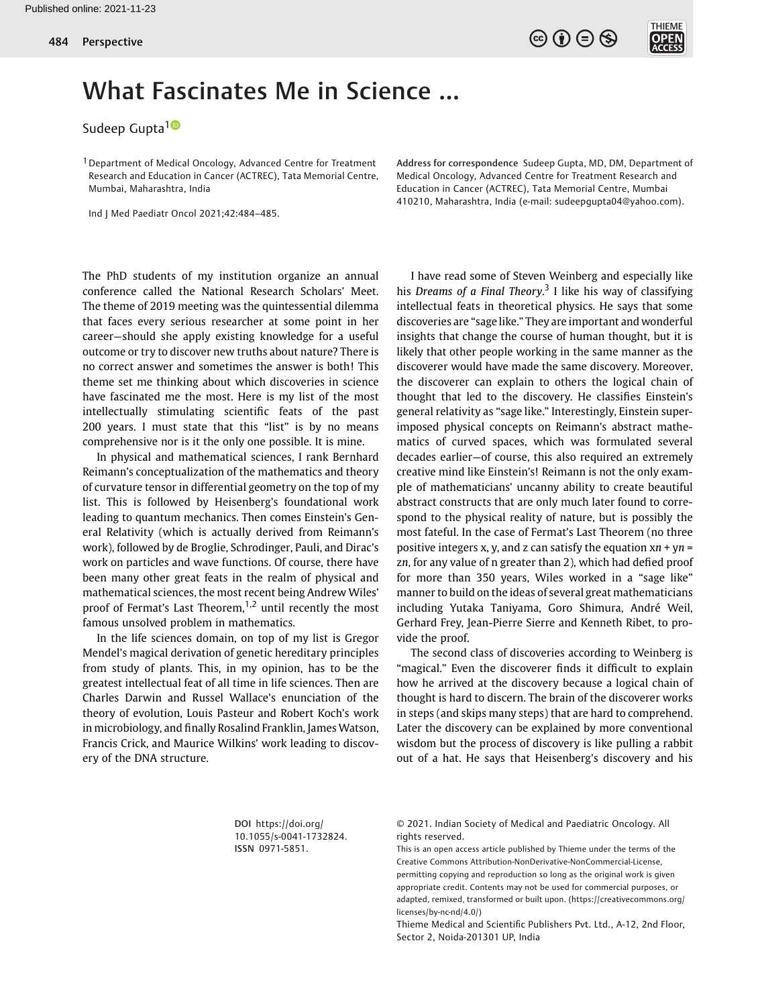

## What Fascinates Me in Science …

Sudeep Gupta<sup>10</sup>

<sup>1</sup> Department of Medical Oncology, Advanced Centre for Treatment Research and Education in Cancer (ACTREC), Tata Memorial Centre, Mumbai, Maharashtra, India

Ind J Med Paediatr Oncol 2021;42:484–485.

The PhD students of my institution organize an annual conference called the National Research Scholars' Meet. The theme of 2019 meeting was the quintessential dilemma that faces every serious researcher at some point in her career—should she apply existing knowledge for a useful outcome or try to discover new truths about nature? There is no correct answer and sometimes the answer is both! This theme set me thinking about which discoveries in science have fascinated me the most. Here is my list of the most intellectually stimulating scientific feats of the past 200 years. I must state that this "list" is by no means comprehensive nor is it the only one possible. It is mine.

In physical and mathematical sciences, I rank Bernhard Reimann's conceptualization of the mathematics and theory of curvature tensor in differential geometry on the top of my list. This is followed by Heisenberg's foundational work leading to quantum mechanics. Then comes Einstein's General Relativity (which is actually derived from Reimann's work), followed by de Broglie, Schrodinger, Pauli, and Dirac's work on particles and wave functions. Of course, there have been many other great feats in the realm of physical and mathematical sciences, the most recent being Andrew Wiles' proof of Fermat's Last Theorem, $1,2$  until recently the most famous unsolved problem in mathematics.

In the life sciences domain, on top of my list is Gregor Mendel's magical derivation of genetic hereditary principles from study of plants. This, in my opinion, has to be the greatest intellectual feat of all time in life sciences. Then are Charles Darwin and Russel Wallace's enunciation of the theory of evolution, Louis Pasteur and Robert Koch's work in microbiology, and finally Rosalind Franklin, James Watson, Francis Crick, and Maurice Wilkins' work leading to discovery of the DNA structure.

Address for correspondence Sudeep Gupta, MD, DM, Department of Medical Oncology, Advanced Centre for Treatment Research and Education in Cancer (ACTREC), Tata Memorial Centre, Mumbai 410210, Maharashtra, India (e-mail: [sudeepgupta04@yahoo.com\)](mailto:sudeepgupta04@yahoo.com).

I have read some of Steven Weinberg and especially like his Dreams of a Final Theory.<sup>3</sup> I like his way of classifying intellectual feats in theoretical physics. He says that some discoveries are "sage like." They are important and wonderful insights that change the course of human thought, but it is likely that other people working in the same manner as the discoverer would have made the same discovery. Moreover, the discoverer can explain to others the logical chain of thought that led to the discovery. He classifies Einstein's general relativity as "sage like." Interestingly, Einstein superimposed physical concepts on Reimann's abstract mathematics of curved spaces, which was formulated several decades earlier—of course, this also required an extremely creative mind like Einstein's! Reimann is not the only example of mathematicians' uncanny ability to create beautiful abstract constructs that are only much later found to correspond to the physical reality of nature, but is possibly the most fateful. In the case of Fermat's Last Theorem (no three positive integers x, y, and z can satisfy the equation  $xn + yn =$ zn, for any value of n greater than 2), which had defied proof for more than 350 years, Wiles worked in a "sage like" manner to build on the ideas of several great mathematicians including Yutaka Taniyama, Goro Shimura, André Weil, Gerhard Frey, Jean-Pierre Sierre and Kenneth Ribet, to provide the proof.

The second class of discoveries according to Weinberg is "magical." Even the discoverer finds it difficult to explain how he arrived at the discovery because a logical chain of thought is hard to discern. The brain of the discoverer works in steps (and skips many steps) that are hard to comprehend. Later the discovery can be explained by more conventional wisdom but the process of discovery is like pulling a rabbit out of a hat. He says that Heisenberg's discovery and his

DOI [https://doi.org/](https://doi.org/10.1055/s-0041-1732824) [10.1055/s-0041-1732824](https://doi.org/10.1055/s-0041-1732824). ISSN 0971-5851.

© 2021. Indian Society of Medical and Paediatric Oncology. All rights reserved.

This is an open access article published by Thieme under the terms of the Creative Commons Attribution-NonDerivative-NonCommercial-License, permitting copying and reproduction so long as the original work is given appropriate credit. Contents may not be used for commercial purposes, or adapted, remixed, transformed or built upon. (https://creativecommons.org/ licenses/by-nc-nd/4.0/)

Thieme Medical and Scientific Publishers Pvt. Ltd., A-12, 2nd Floor, Sector 2, Noida-201301 UP, India